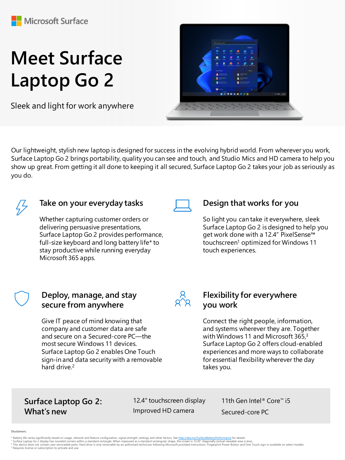# **Meet Surface Laptop Go 2**

Sleek and light for work anywhere



Our lightweight, stylish new laptop is designed for success in the evolving hybrid world. From wherever you work, Surface Laptop Go 2 brings portability, quality you can see and touch, and Studio Mics and HD camera to help you show up great. From getting it all done to keeping it all secured, Surface Laptop Go 2 takes your job as seriously as you do.

|--|

#### **Take on your everyday tasks**

Whether capturing customer orders or delivering persuasive presentations, Surface Laptop Go 2 provides performance, full-size keyboard and long battery life\* to stay productive while running everyday Microsoft 365 apps.



#### **Design that works for you**

So light you can take it everywhere, sleek Surface Laptop Go 2 is designed to help you get work done with a 12.4" PixelSense™ touchscreen<sup>1</sup> optimized for Windows 11 touch experiences.

# **Deploy, manage, and stay secure from anywhere**

Give IT peace of mind knowing that company and customer data are safe and secure on a Secured-core PC—the most secure Windows 11 devices. Surface Laptop Go 2 enables One Touch sign-in and data security with a removable hard drive.<sup>2</sup>



# **Flexibility for everywhere you work**

Connect the right people, information, and systems wherever they are. Together with Windows 11 and Microsoft 365,<sup>3</sup> Surface Laptop Go 2 offers cloud-enabled experiences and more ways to collaborate for essential flexibility wherever the day takes you.

# **Surface Laptop Go 2: What's new**

12.4" touchscreen display Improved HD camera

11th Gen Intel® Core<sup>™</sup> i5 Secured-core PC

**Disclaimers**

<sup>\*</sup> Battery life varies significantly based on usage, network and feature configuration, signal strength, settings and other factors. See <u>http://aka.ms/SurfaceBatteryPerformance</u> for details.<br>! Surface Laptop Go 2 display h